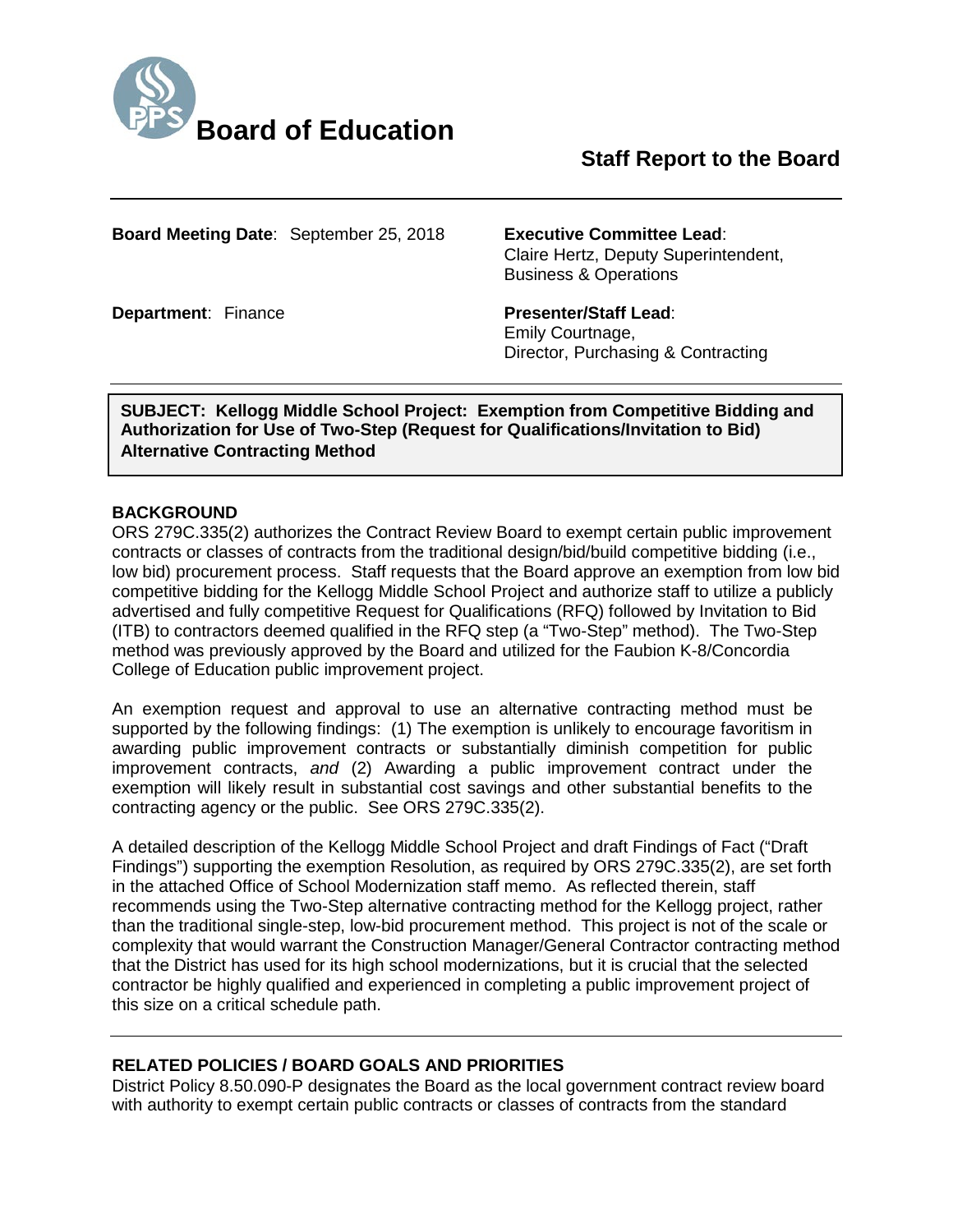

# **Staff Report to the Board**

**Board Meeting Date**: September 25, 2018 **Executive Committee Lead**:

Claire Hertz, Deputy Superintendent, Business & Operations

**Department: Finance <b>Presenter/Staff Lead:** Emily Courtnage, Director, Purchasing & Contracting

**SUBJECT: Kellogg Middle School Project: Exemption from Competitive Bidding and Authorization for Use of Two-Step (Request for Qualifications/Invitation to Bid) Alternative Contracting Method**

#### **BACKGROUND**

ORS 279C.335(2) authorizes the Contract Review Board to exempt certain public improvement contracts or classes of contracts from the traditional design/bid/build competitive bidding (i.e., low bid) procurement process. Staff requests that the Board approve an exemption from low bid competitive bidding for the Kellogg Middle School Project and authorize staff to utilize a publicly advertised and fully competitive Request for Qualifications (RFQ) followed by Invitation to Bid (ITB) to contractors deemed qualified in the RFQ step (a "Two-Step" method). The Two-Step method was previously approved by the Board and utilized for the Faubion K-8/Concordia College of Education public improvement project.

An exemption request and approval to use an alternative contracting method must be supported by the following findings: (1) The exemption is unlikely to encourage favoritism in awarding public improvement contracts or substantially diminish competition for public improvement contracts, *and* (2) Awarding a public improvement contract under the exemption will likely result in substantial cost savings and other substantial benefits to the contracting agency or the public. See ORS 279C.335(2).

A detailed description of the Kellogg Middle School Project and draft Findings of Fact ("Draft Findings") supporting the exemption Resolution, as required by ORS 279C.335(2), are set forth in the attached Office of School Modernization staff memo. As reflected therein, staff recommends using the Two-Step alternative contracting method for the Kellogg project, rather than the traditional single-step, low-bid procurement method. This project is not of the scale or complexity that would warrant the Construction Manager/General Contractor contracting method that the District has used for its high school modernizations, but it is crucial that the selected contractor be highly qualified and experienced in completing a public improvement project of this size on a critical schedule path.

#### **RELATED POLICIES / BOARD GOALS AND PRIORITIES**

District Policy 8.50.090-P designates the Board as the local government contract review board with authority to exempt certain public contracts or classes of contracts from the standard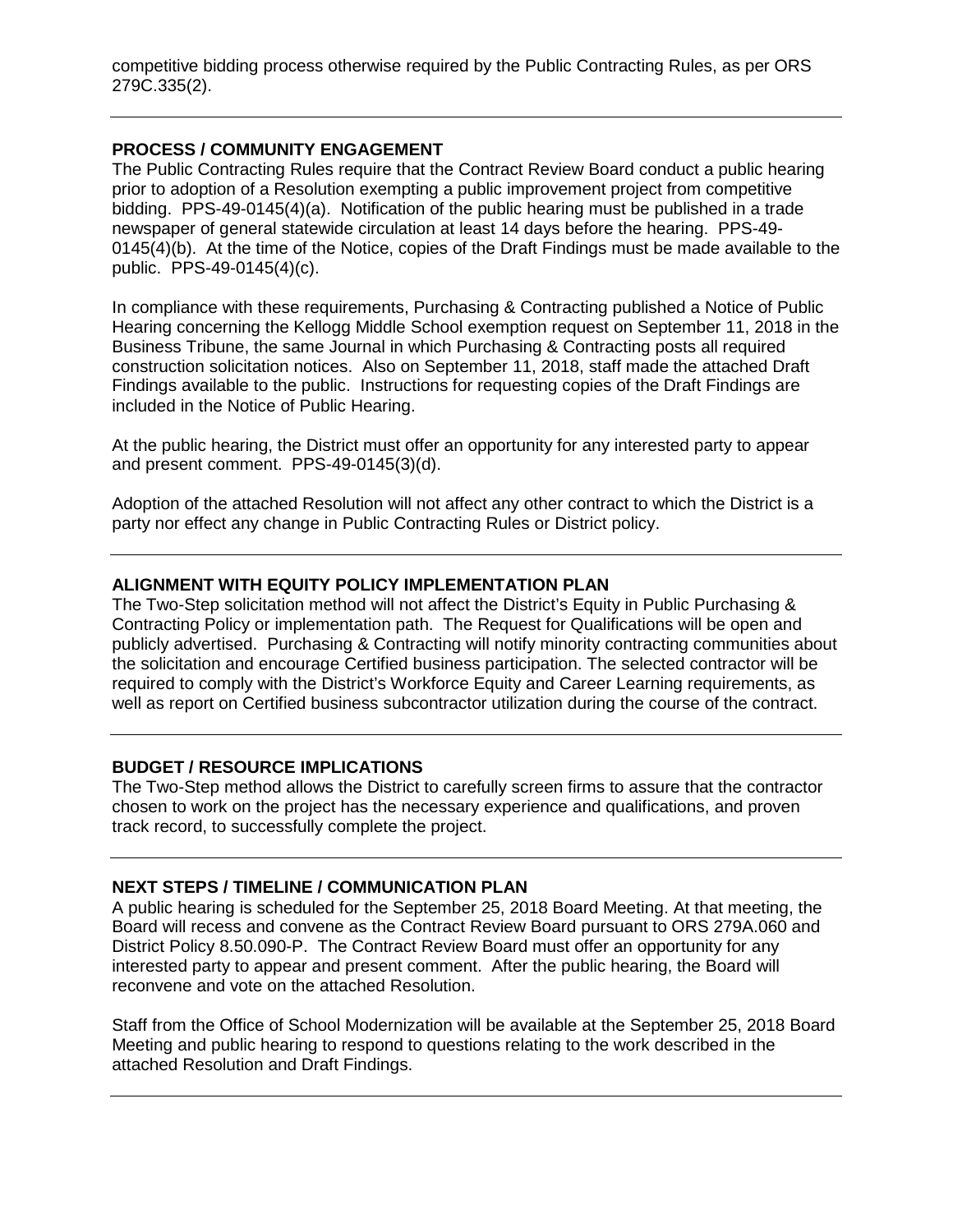competitive bidding process otherwise required by the Public Contracting Rules, as per ORS 279C.335(2).

#### **PROCESS / COMMUNITY ENGAGEMENT**

The Public Contracting Rules require that the Contract Review Board conduct a public hearing prior to adoption of a Resolution exempting a public improvement project from competitive bidding. PPS-49-0145(4)(a). Notification of the public hearing must be published in a trade newspaper of general statewide circulation at least 14 days before the hearing. PPS-49- 0145(4)(b). At the time of the Notice, copies of the Draft Findings must be made available to the public. PPS-49-0145(4)(c).

In compliance with these requirements, Purchasing & Contracting published a Notice of Public Hearing concerning the Kellogg Middle School exemption request on September 11, 2018 in the Business Tribune, the same Journal in which Purchasing & Contracting posts all required construction solicitation notices. Also on September 11, 2018, staff made the attached Draft Findings available to the public. Instructions for requesting copies of the Draft Findings are included in the Notice of Public Hearing.

At the public hearing, the District must offer an opportunity for any interested party to appear and present comment. PPS-49-0145(3)(d).

Adoption of the attached Resolution will not affect any other contract to which the District is a party nor effect any change in Public Contracting Rules or District policy.

#### **ALIGNMENT WITH EQUITY POLICY IMPLEMENTATION PLAN**

The Two-Step solicitation method will not affect the District's Equity in Public Purchasing & Contracting Policy or implementation path. The Request for Qualifications will be open and publicly advertised. Purchasing & Contracting will notify minority contracting communities about the solicitation and encourage Certified business participation. The selected contractor will be required to comply with the District's Workforce Equity and Career Learning requirements, as well as report on Certified business subcontractor utilization during the course of the contract.

#### **BUDGET / RESOURCE IMPLICATIONS**

The Two-Step method allows the District to carefully screen firms to assure that the contractor chosen to work on the project has the necessary experience and qualifications, and proven track record, to successfully complete the project.

#### **NEXT STEPS / TIMELINE / COMMUNICATION PLAN**

A public hearing is scheduled for the September 25, 2018 Board Meeting. At that meeting, the Board will recess and convene as the Contract Review Board pursuant to ORS 279A.060 and District Policy 8.50.090-P. The Contract Review Board must offer an opportunity for any interested party to appear and present comment. After the public hearing, the Board will reconvene and vote on the attached Resolution.

Staff from the Office of School Modernization will be available at the September 25, 2018 Board Meeting and public hearing to respond to questions relating to the work described in the attached Resolution and Draft Findings.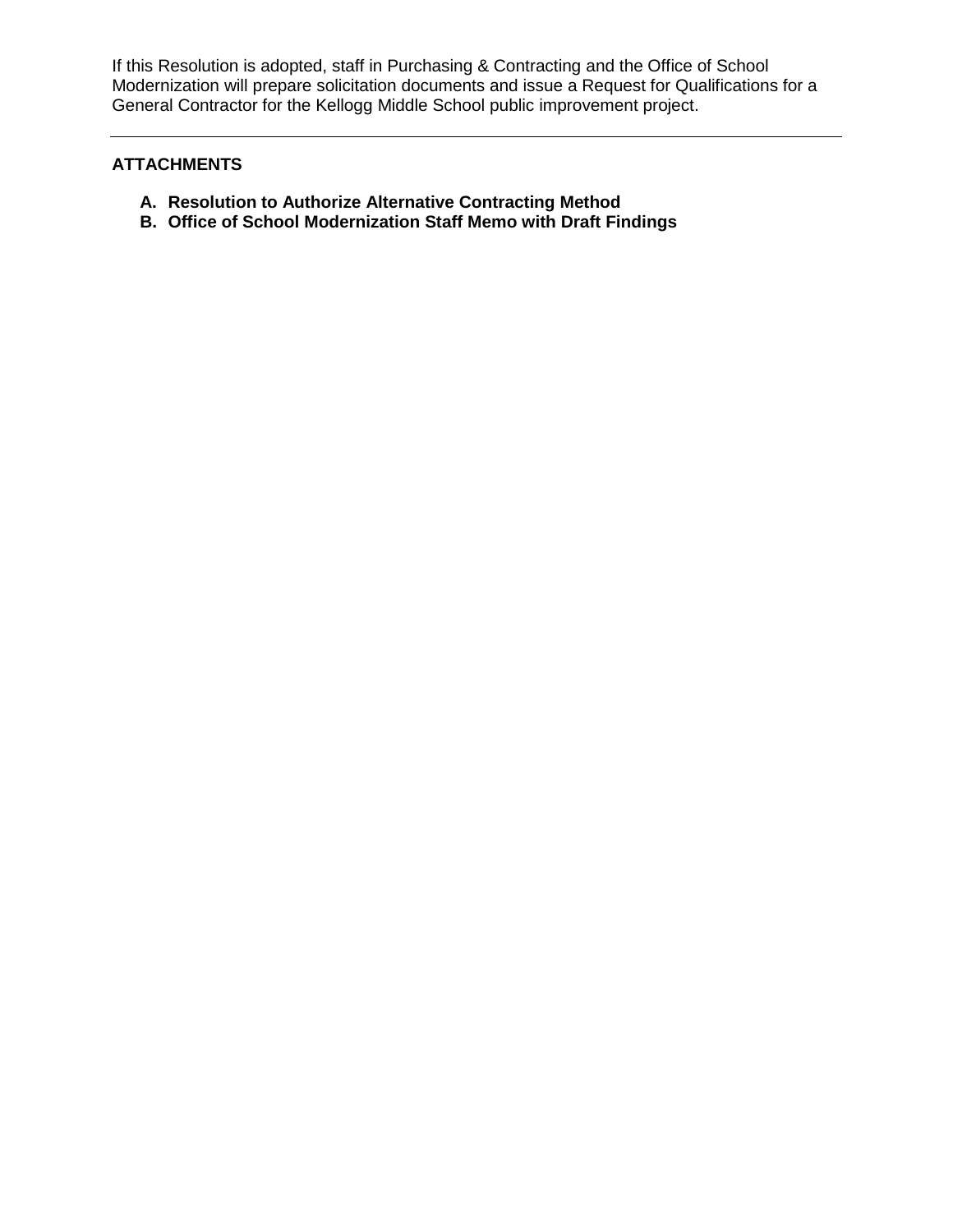If this Resolution is adopted, staff in Purchasing & Contracting and the Office of School Modernization will prepare solicitation documents and issue a Request for Qualifications for a General Contractor for the Kellogg Middle School public improvement project.

## **ATTACHMENTS**

- **A. Resolution to Authorize Alternative Contracting Method**
- **B. Office of School Modernization Staff Memo with Draft Findings**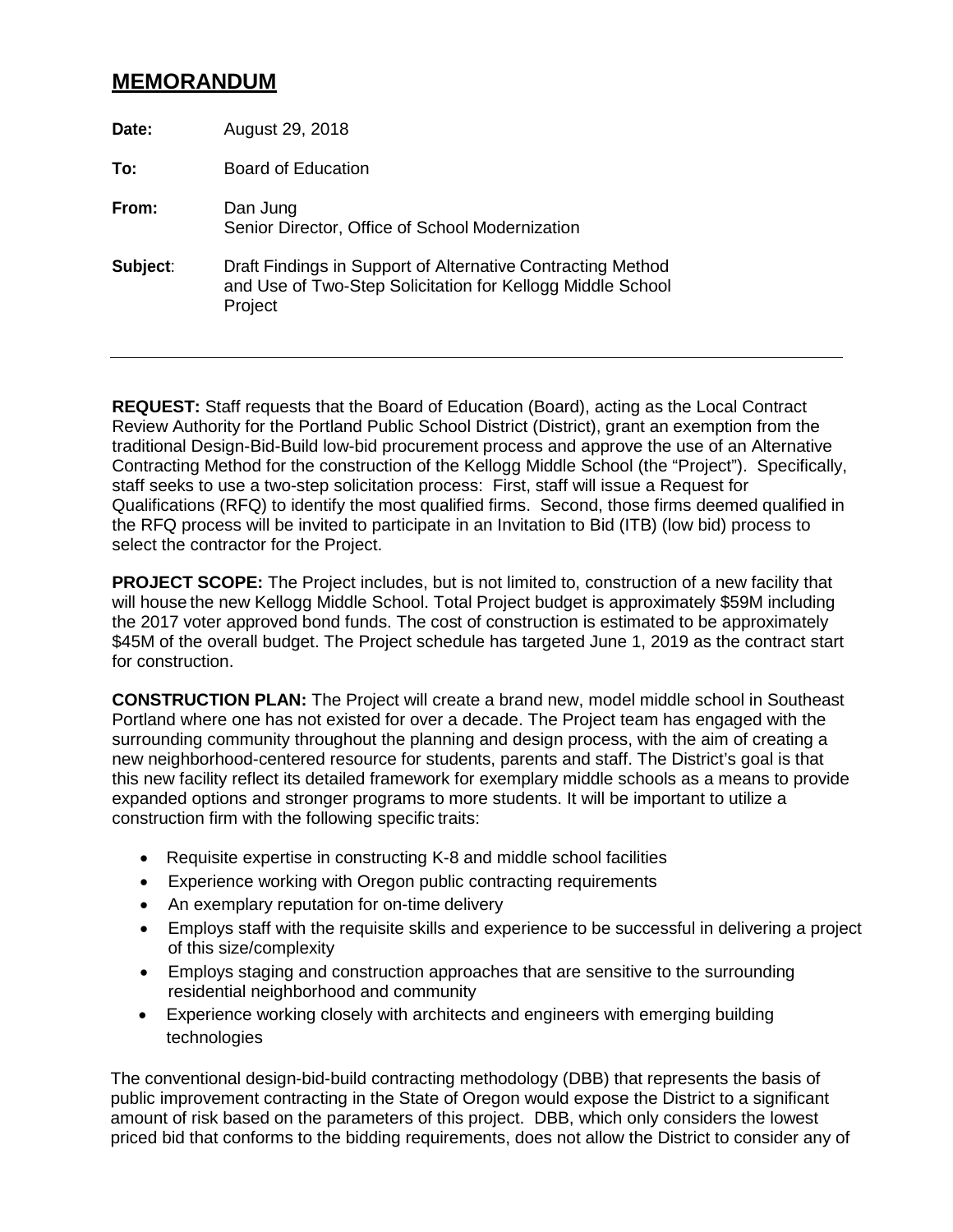## **MEMORANDUM**

| Date:    | August 29, 2018                                                                                                                      |
|----------|--------------------------------------------------------------------------------------------------------------------------------------|
| To:      | Board of Education                                                                                                                   |
| From:    | Dan Jung<br>Senior Director, Office of School Modernization                                                                          |
| Subject: | Draft Findings in Support of Alternative Contracting Method<br>and Use of Two-Step Solicitation for Kellogg Middle School<br>Project |

**REQUEST:** Staff requests that the Board of Education (Board), acting as the Local Contract Review Authority for the Portland Public School District (District), grant an exemption from the traditional Design-Bid-Build low-bid procurement process and approve the use of an Alternative Contracting Method for the construction of the Kellogg Middle School (the "Project"). Specifically, staff seeks to use a two-step solicitation process: First, staff will issue a Request for Qualifications (RFQ) to identify the most qualified firms. Second, those firms deemed qualified in the RFQ process will be invited to participate in an Invitation to Bid (ITB) (low bid) process to select the contractor for the Project.

**PROJECT SCOPE:** The Project includes, but is not limited to, construction of a new facility that will house the new Kellogg Middle School. Total Project budget is approximately \$59M including the 2017 voter approved bond funds. The cost of construction is estimated to be approximately \$45M of the overall budget. The Project schedule has targeted June 1, 2019 as the contract start for construction.

**CONSTRUCTION PLAN:** The Project will create a brand new, model middle school in Southeast Portland where one has not existed for over a decade. The Project team has engaged with the surrounding community throughout the planning and design process, with the aim of creating a new neighborhood-centered resource for students, parents and staff. The District's goal is that this new facility reflect its detailed framework for exemplary middle schools as a means to provide expanded options and stronger programs to more students. It will be important to utilize a construction firm with the following specific traits:

- Requisite expertise in constructing K-8 and middle school facilities
- Experience working with Oregon public contracting requirements
- An exemplary reputation for on-time delivery
- Employs staff with the requisite skills and experience to be successful in delivering a project of this size/complexity
- Employs staging and construction approaches that are sensitive to the surrounding residential neighborhood and community
- Experience working closely with architects and engineers with emerging building technologies

The conventional design-bid-build contracting methodology (DBB) that represents the basis of public improvement contracting in the State of Oregon would expose the District to a significant amount of risk based on the parameters of this project. DBB, which only considers the lowest priced bid that conforms to the bidding requirements, does not allow the District to consider any of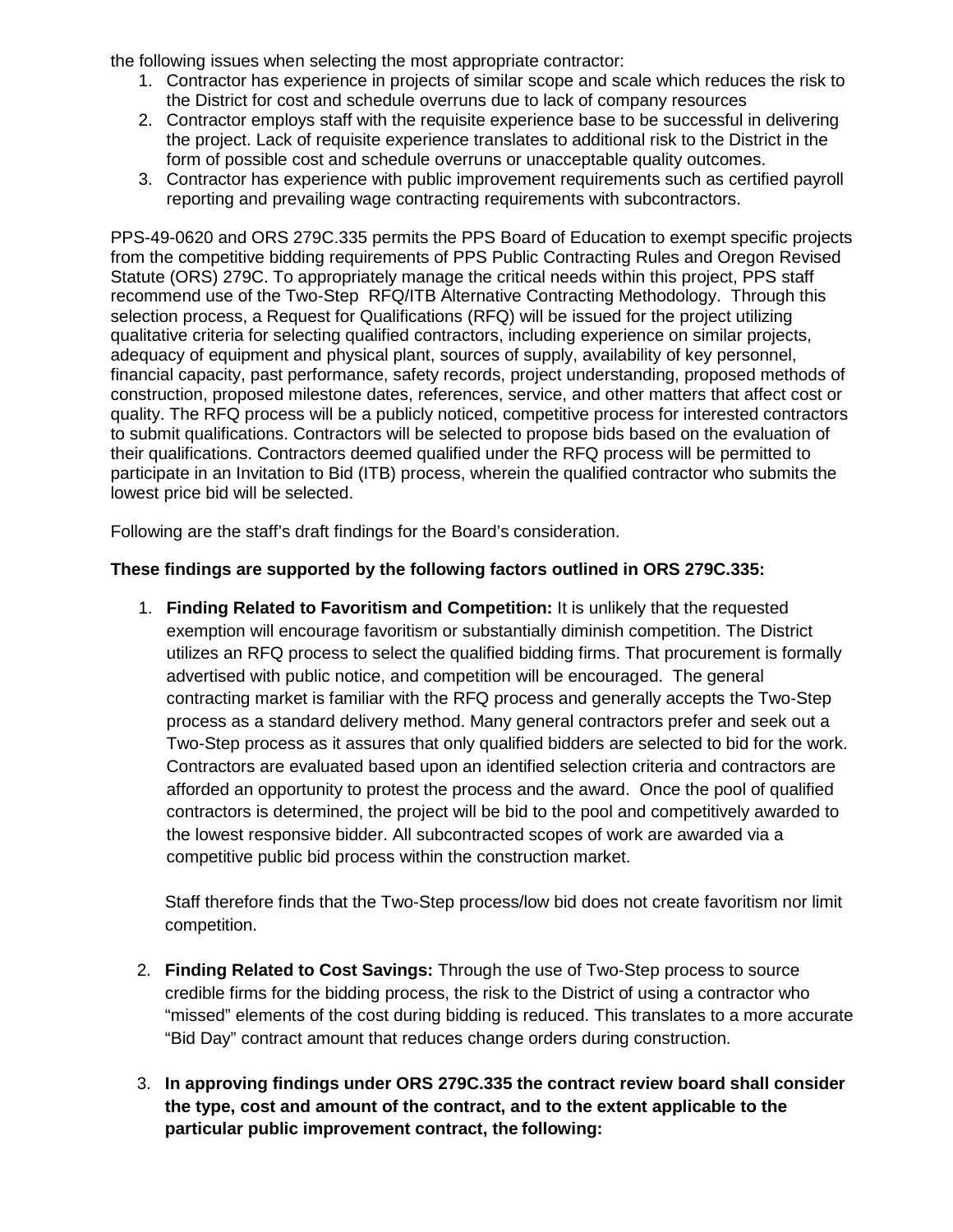the following issues when selecting the most appropriate contractor:

- 1. Contractor has experience in projects of similar scope and scale which reduces the risk to the District for cost and schedule overruns due to lack of company resources
- 2. Contractor employs staff with the requisite experience base to be successful in delivering the project. Lack of requisite experience translates to additional risk to the District in the form of possible cost and schedule overruns or unacceptable quality outcomes.
- 3. Contractor has experience with public improvement requirements such as certified payroll reporting and prevailing wage contracting requirements with subcontractors.

PPS-49-0620 and ORS 279C.335 permits the PPS Board of Education to exempt specific projects from the competitive bidding requirements of PPS Public Contracting Rules and Oregon Revised Statute (ORS) 279C. To appropriately manage the critical needs within this project, PPS staff recommend use of the Two-Step RFQ/ITB Alternative Contracting Methodology. Through this selection process, a Request for Qualifications (RFQ) will be issued for the project utilizing qualitative criteria for selecting qualified contractors, including experience on similar projects, adequacy of equipment and physical plant, sources of supply, availability of key personnel, financial capacity, past performance, safety records, project understanding, proposed methods of construction, proposed milestone dates, references, service, and other matters that affect cost or quality. The RFQ process will be a publicly noticed, competitive process for interested contractors to submit qualifications. Contractors will be selected to propose bids based on the evaluation of their qualifications. Contractors deemed qualified under the RFQ process will be permitted to participate in an Invitation to Bid (ITB) process, wherein the qualified contractor who submits the lowest price bid will be selected.

Following are the staff's draft findings for the Board's consideration.

## **These findings are supported by the following factors outlined in ORS 279C.335:**

1. **Finding Related to Favoritism and Competition:** It is unlikely that the requested exemption will encourage favoritism or substantially diminish competition. The District utilizes an RFQ process to select the qualified bidding firms. That procurement is formally advertised with public notice, and competition will be encouraged. The general contracting market is familiar with the RFQ process and generally accepts the Two-Step process as a standard delivery method. Many general contractors prefer and seek out a Two-Step process as it assures that only qualified bidders are selected to bid for the work. Contractors are evaluated based upon an identified selection criteria and contractors are afforded an opportunity to protest the process and the award. Once the pool of qualified contractors is determined, the project will be bid to the pool and competitively awarded to the lowest responsive bidder. All subcontracted scopes of work are awarded via a competitive public bid process within the construction market.

Staff therefore finds that the Two-Step process/low bid does not create favoritism nor limit competition.

- 2. **Finding Related to Cost Savings:** Through the use of Two-Step process to source credible firms for the bidding process, the risk to the District of using a contractor who "missed" elements of the cost during bidding is reduced. This translates to a more accurate "Bid Day" contract amount that reduces change orders during construction.
- 3. **In approving findings under ORS 279C.335 the contract review board shall consider the type, cost and amount of the contract, and to the extent applicable to the particular public improvement contract, the following:**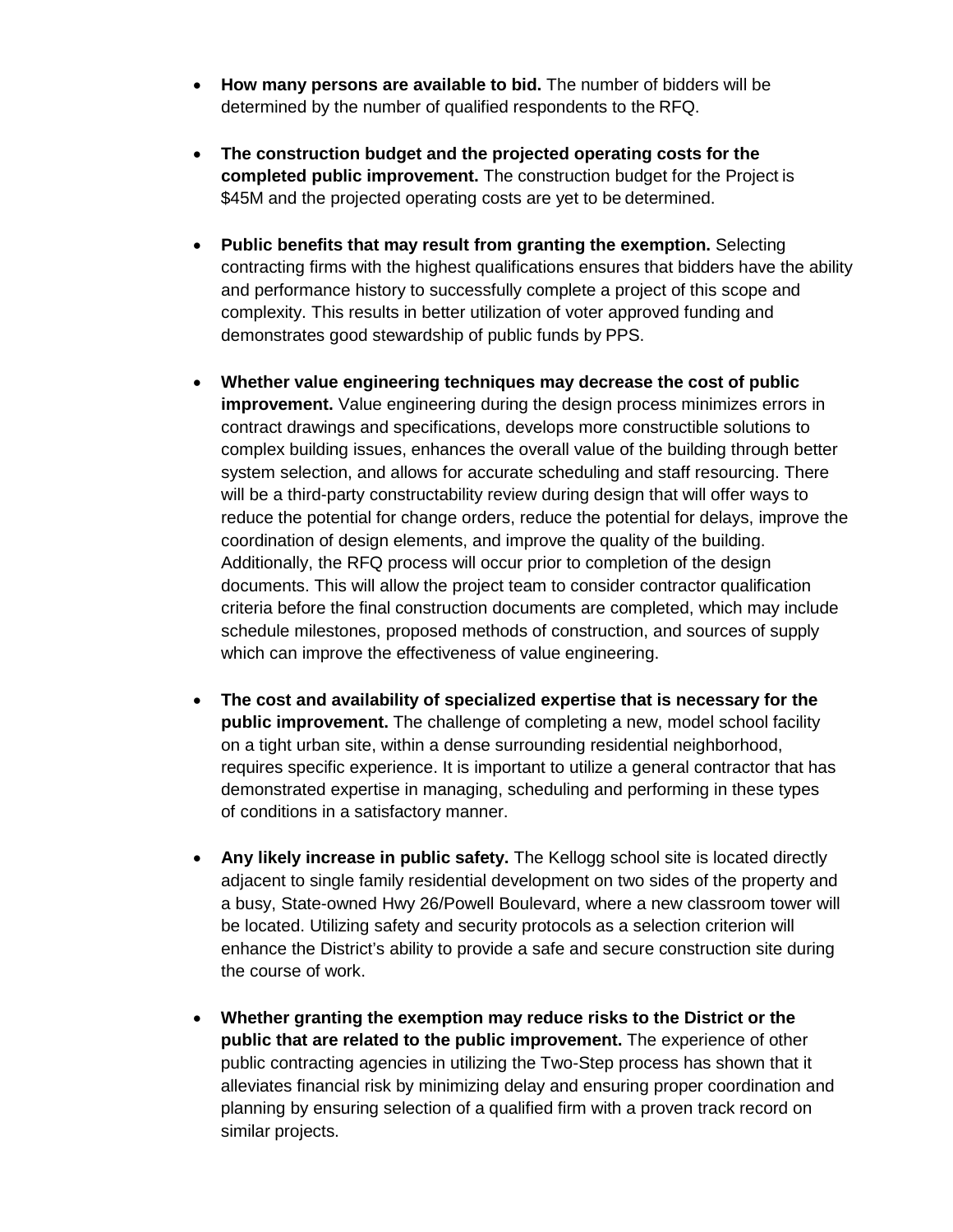- **How many persons are available to bid.** The number of bidders will be determined by the number of qualified respondents to the RFQ.
- **The construction budget and the projected operating costs for the completed public improvement.** The construction budget for the Project is \$45M and the projected operating costs are yet to be determined.
- **Public benefits that may result from granting the exemption.** Selecting contracting firms with the highest qualifications ensures that bidders have the ability and performance history to successfully complete a project of this scope and complexity. This results in better utilization of voter approved funding and demonstrates good stewardship of public funds by PPS.
- **Whether value engineering techniques may decrease the cost of public improvement.** Value engineering during the design process minimizes errors in contract drawings and specifications, develops more constructible solutions to complex building issues, enhances the overall value of the building through better system selection, and allows for accurate scheduling and staff resourcing. There will be a third-party constructability review during design that will offer ways to reduce the potential for change orders, reduce the potential for delays, improve the coordination of design elements, and improve the quality of the building. Additionally, the RFQ process will occur prior to completion of the design documents. This will allow the project team to consider contractor qualification criteria before the final construction documents are completed, which may include schedule milestones, proposed methods of construction, and sources of supply which can improve the effectiveness of value engineering.
- **The cost and availability of specialized expertise that is necessary for the public improvement.** The challenge of completing a new, model school facility on a tight urban site, within a dense surrounding residential neighborhood, requires specific experience. It is important to utilize a general contractor that has demonstrated expertise in managing, scheduling and performing in these types of conditions in a satisfactory manner.
- **Any likely increase in public safety.** The Kellogg school site is located directly adjacent to single family residential development on two sides of the property and a busy, State-owned Hwy 26/Powell Boulevard, where a new classroom tower will be located. Utilizing safety and security protocols as a selection criterion will enhance the District's ability to provide a safe and secure construction site during the course of work.
- **Whether granting the exemption may reduce risks to the District or the public that are related to the public improvement.** The experience of other public contracting agencies in utilizing the Two-Step process has shown that it alleviates financial risk by minimizing delay and ensuring proper coordination and planning by ensuring selection of a qualified firm with a proven track record on similar projects.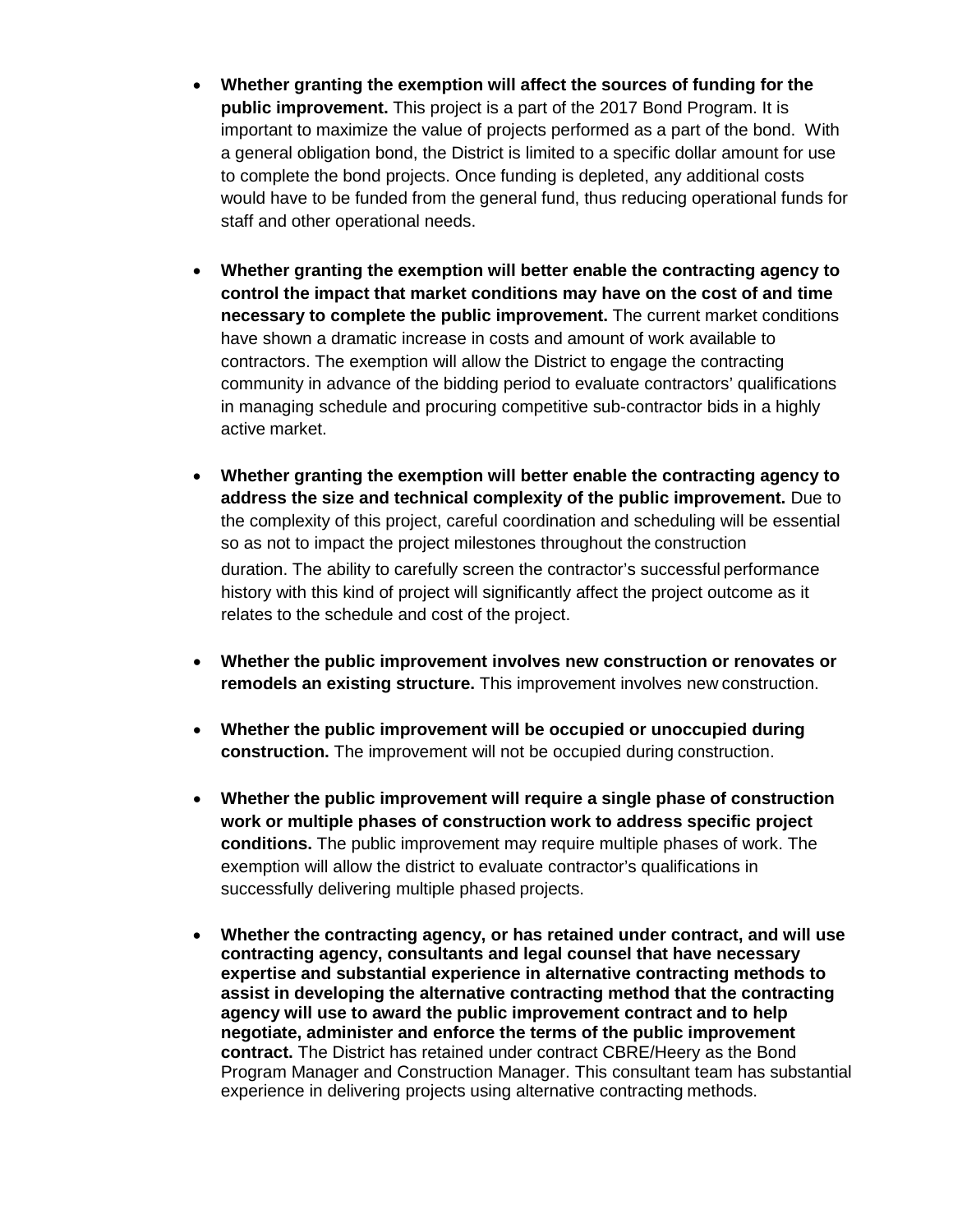- **Whether granting the exemption will affect the sources of funding for the public improvement.** This project is a part of the 2017 Bond Program. It is important to maximize the value of projects performed as a part of the bond. With a general obligation bond, the District is limited to a specific dollar amount for use to complete the bond projects. Once funding is depleted, any additional costs would have to be funded from the general fund, thus reducing operational funds for staff and other operational needs.
- **Whether granting the exemption will better enable the contracting agency to control the impact that market conditions may have on the cost of and time necessary to complete the public improvement.** The current market conditions have shown a dramatic increase in costs and amount of work available to contractors. The exemption will allow the District to engage the contracting community in advance of the bidding period to evaluate contractors' qualifications in managing schedule and procuring competitive sub-contractor bids in a highly active market.
- **Whether granting the exemption will better enable the contracting agency to address the size and technical complexity of the public improvement.** Due to the complexity of this project, careful coordination and scheduling will be essential so as not to impact the project milestones throughout the construction duration. The ability to carefully screen the contractor's successful performance history with this kind of project will significantly affect the project outcome as it relates to the schedule and cost of the project.
- **Whether the public improvement involves new construction or renovates or remodels an existing structure.** This improvement involves new construction.
- **Whether the public improvement will be occupied or unoccupied during construction.** The improvement will not be occupied during construction.
- **Whether the public improvement will require a single phase of construction work or multiple phases of construction work to address specific project conditions.** The public improvement may require multiple phases of work. The exemption will allow the district to evaluate contractor's qualifications in successfully delivering multiple phased projects.
- **Whether the contracting agency, or has retained under contract, and will use contracting agency, consultants and legal counsel that have necessary expertise and substantial experience in alternative contracting methods to assist in developing the alternative contracting method that the contracting agency will use to award the public improvement contract and to help negotiate, administer and enforce the terms of the public improvement contract.** The District has retained under contract CBRE/Heery as the Bond Program Manager and Construction Manager. This consultant team has substantial experience in delivering projects using alternative contracting methods.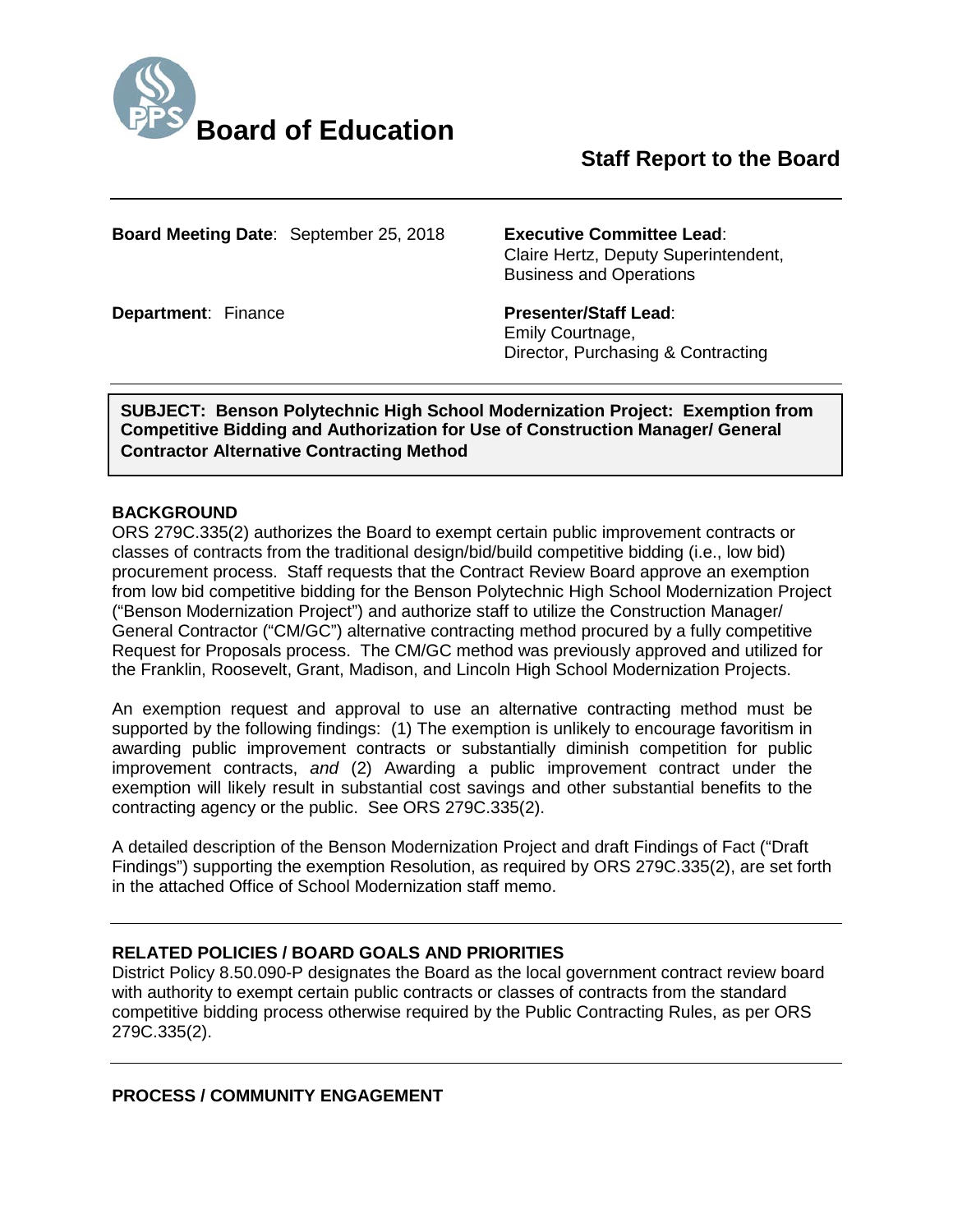

# **Staff Report to the Board**

**Board Meeting Date**: September 25, 2018 **Executive Committee Lead**:

Claire Hertz, Deputy Superintendent, Business and Operations

**Department: Finance <b>Presenter/Staff Lead:** Emily Courtnage, Director, Purchasing & Contracting

**SUBJECT: Benson Polytechnic High School Modernization Project: Exemption from Competitive Bidding and Authorization for Use of Construction Manager/ General Contractor Alternative Contracting Method**

#### **BACKGROUND**

ORS 279C.335(2) authorizes the Board to exempt certain public improvement contracts or classes of contracts from the traditional design/bid/build competitive bidding (i.e., low bid) procurement process. Staff requests that the Contract Review Board approve an exemption from low bid competitive bidding for the Benson Polytechnic High School Modernization Project ("Benson Modernization Project") and authorize staff to utilize the Construction Manager/ General Contractor ("CM/GC") alternative contracting method procured by a fully competitive Request for Proposals process. The CM/GC method was previously approved and utilized for the Franklin, Roosevelt, Grant, Madison, and Lincoln High School Modernization Projects.

An exemption request and approval to use an alternative contracting method must be supported by the following findings: (1) The exemption is unlikely to encourage favoritism in awarding public improvement contracts or substantially diminish competition for public improvement contracts, *and* (2) Awarding a public improvement contract under the exemption will likely result in substantial cost savings and other substantial benefits to the contracting agency or the public. See ORS 279C.335(2).

A detailed description of the Benson Modernization Project and draft Findings of Fact ("Draft Findings") supporting the exemption Resolution, as required by ORS 279C.335(2), are set forth in the attached Office of School Modernization staff memo.

## **RELATED POLICIES / BOARD GOALS AND PRIORITIES**

District Policy 8.50.090-P designates the Board as the local government contract review board with authority to exempt certain public contracts or classes of contracts from the standard competitive bidding process otherwise required by the Public Contracting Rules, as per ORS 279C.335(2).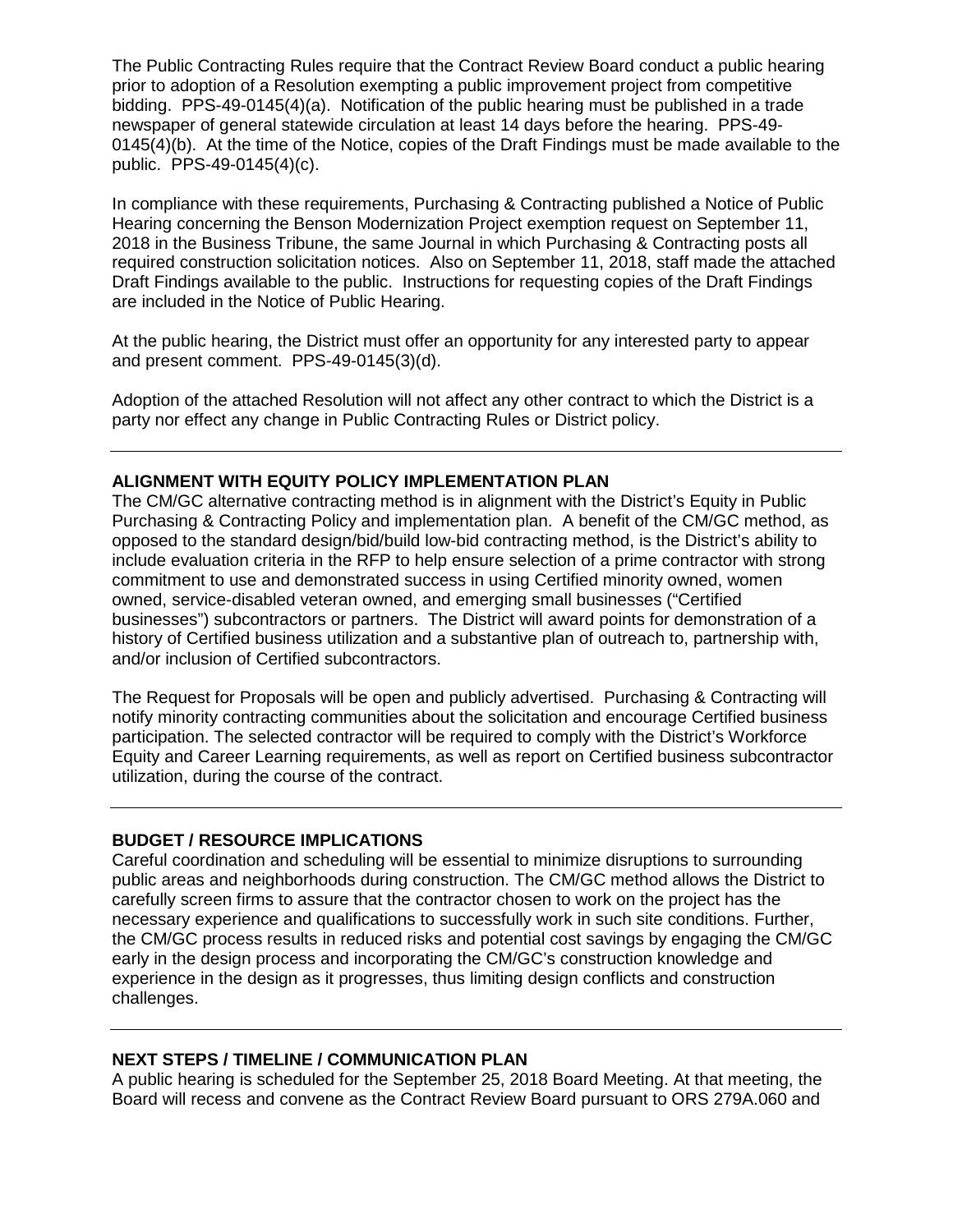The Public Contracting Rules require that the Contract Review Board conduct a public hearing prior to adoption of a Resolution exempting a public improvement project from competitive bidding. PPS-49-0145(4)(a). Notification of the public hearing must be published in a trade newspaper of general statewide circulation at least 14 days before the hearing. PPS-49- 0145(4)(b). At the time of the Notice, copies of the Draft Findings must be made available to the public. PPS-49-0145(4)(c).

In compliance with these requirements, Purchasing & Contracting published a Notice of Public Hearing concerning the Benson Modernization Project exemption request on September 11, 2018 in the Business Tribune, the same Journal in which Purchasing & Contracting posts all required construction solicitation notices. Also on September 11, 2018, staff made the attached Draft Findings available to the public. Instructions for requesting copies of the Draft Findings are included in the Notice of Public Hearing.

At the public hearing, the District must offer an opportunity for any interested party to appear and present comment. PPS-49-0145(3)(d).

Adoption of the attached Resolution will not affect any other contract to which the District is a party nor effect any change in Public Contracting Rules or District policy.

#### **ALIGNMENT WITH EQUITY POLICY IMPLEMENTATION PLAN**

The CM/GC alternative contracting method is in alignment with the District's Equity in Public Purchasing & Contracting Policy and implementation plan. A benefit of the CM/GC method, as opposed to the standard design/bid/build low-bid contracting method, is the District's ability to include evaluation criteria in the RFP to help ensure selection of a prime contractor with strong commitment to use and demonstrated success in using Certified minority owned, women owned, service-disabled veteran owned, and emerging small businesses ("Certified businesses") subcontractors or partners. The District will award points for demonstration of a history of Certified business utilization and a substantive plan of outreach to, partnership with, and/or inclusion of Certified subcontractors.

The Request for Proposals will be open and publicly advertised. Purchasing & Contracting will notify minority contracting communities about the solicitation and encourage Certified business participation. The selected contractor will be required to comply with the District's Workforce Equity and Career Learning requirements, as well as report on Certified business subcontractor utilization, during the course of the contract.

#### **BUDGET / RESOURCE IMPLICATIONS**

Careful coordination and scheduling will be essential to minimize disruptions to surrounding public areas and neighborhoods during construction. The CM/GC method allows the District to carefully screen firms to assure that the contractor chosen to work on the project has the necessary experience and qualifications to successfully work in such site conditions. Further, the CM/GC process results in reduced risks and potential cost savings by engaging the CM/GC early in the design process and incorporating the CM/GC's construction knowledge and experience in the design as it progresses, thus limiting design conflicts and construction challenges.

#### **NEXT STEPS / TIMELINE / COMMUNICATION PLAN**

A public hearing is scheduled for the September 25, 2018 Board Meeting. At that meeting, the Board will recess and convene as the Contract Review Board pursuant to ORS 279A.060 and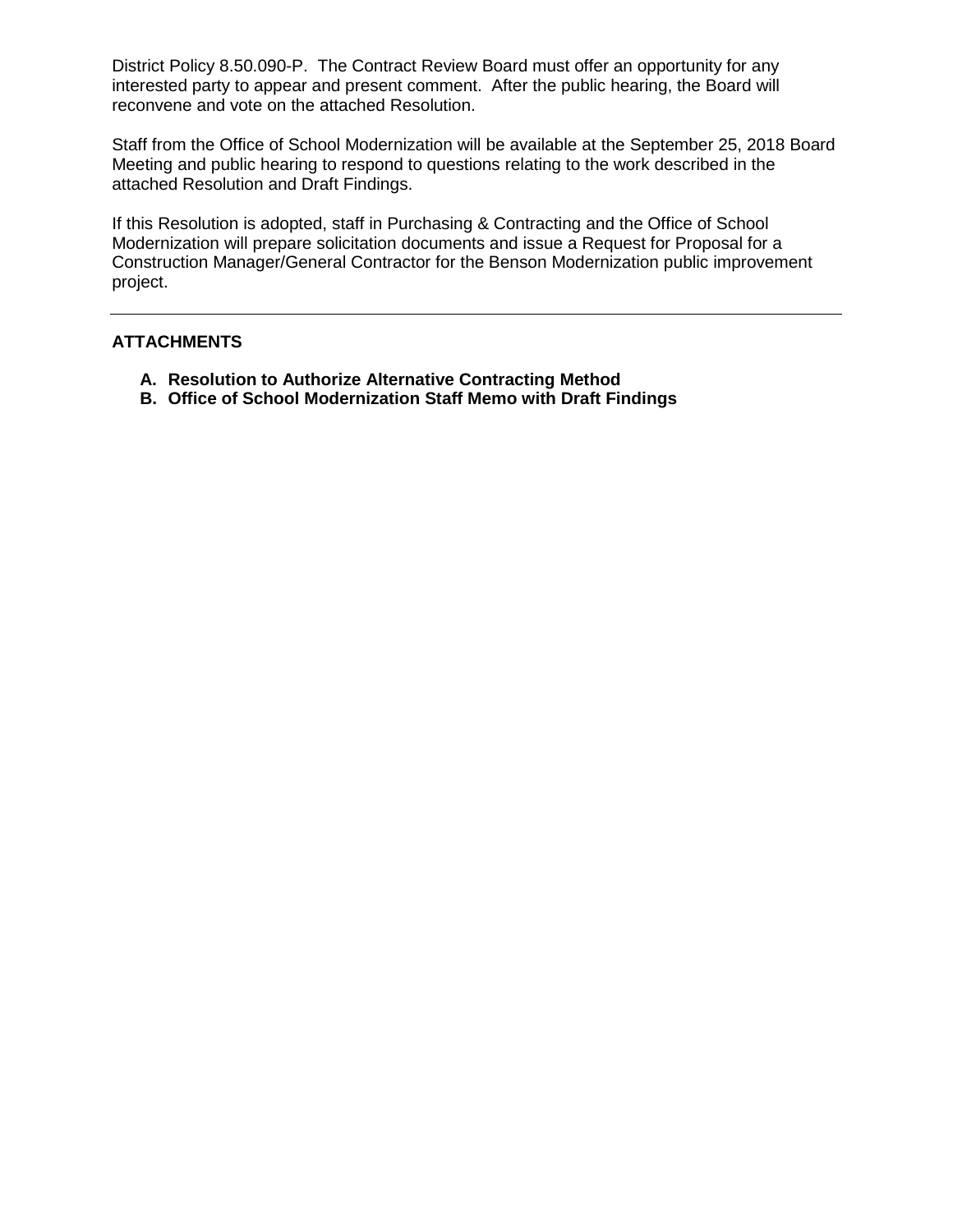District Policy 8.50.090-P. The Contract Review Board must offer an opportunity for any interested party to appear and present comment. After the public hearing, the Board will reconvene and vote on the attached Resolution.

Staff from the Office of School Modernization will be available at the September 25, 2018 Board Meeting and public hearing to respond to questions relating to the work described in the attached Resolution and Draft Findings.

If this Resolution is adopted, staff in Purchasing & Contracting and the Office of School Modernization will prepare solicitation documents and issue a Request for Proposal for a Construction Manager/General Contractor for the Benson Modernization public improvement project.

#### **ATTACHMENTS**

- **A. Resolution to Authorize Alternative Contracting Method**
- **B. Office of School Modernization Staff Memo with Draft Findings**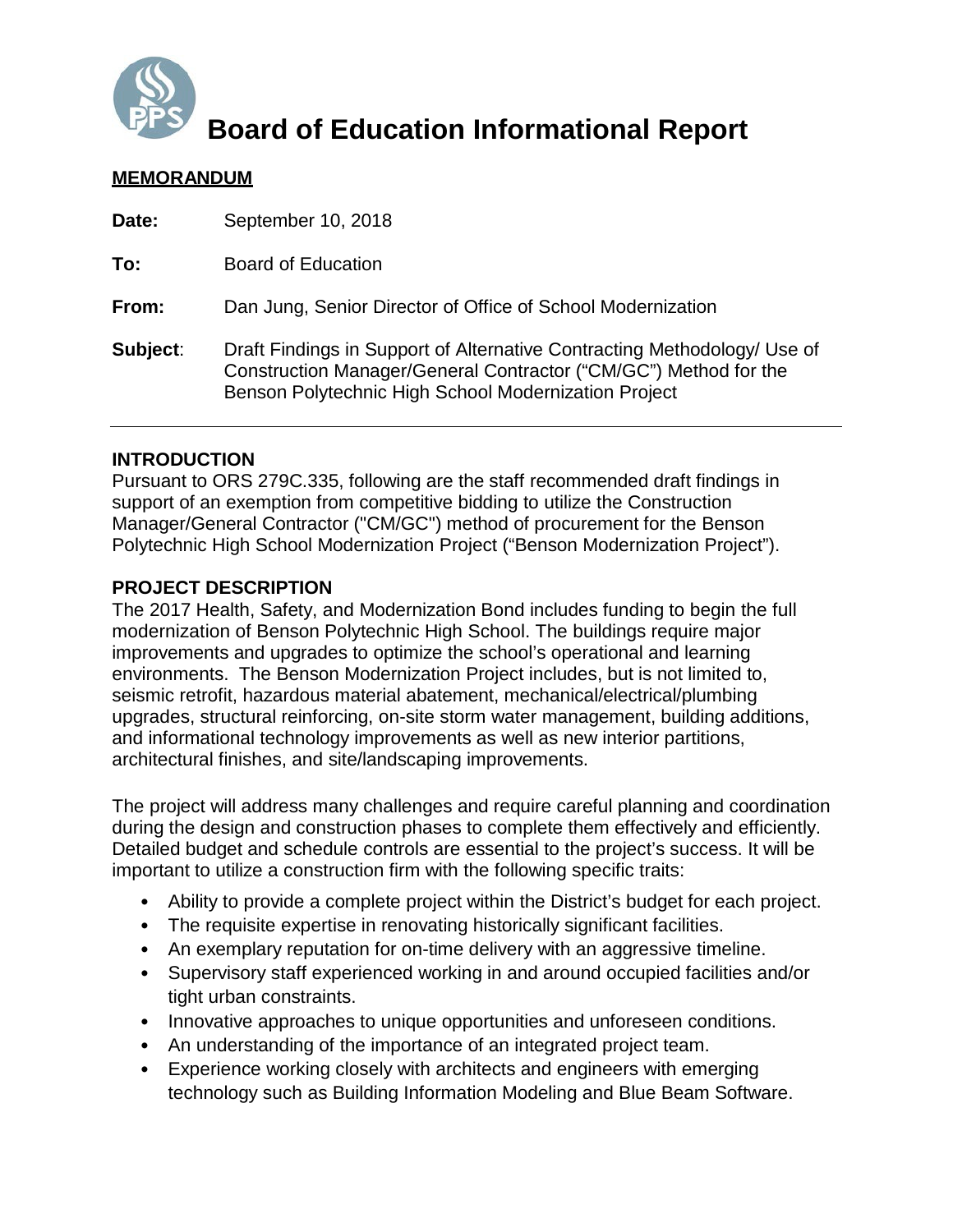

# **Board of Education Informational Report**

## **MEMORANDUM**

| Date:    | September 10, 2018                                                                                                                                                                                   |
|----------|------------------------------------------------------------------------------------------------------------------------------------------------------------------------------------------------------|
| To:      | <b>Board of Education</b>                                                                                                                                                                            |
| From:    | Dan Jung, Senior Director of Office of School Modernization                                                                                                                                          |
| Subject: | Draft Findings in Support of Alternative Contracting Methodology/ Use of<br>Construction Manager/General Contractor ("CM/GC") Method for the<br>Benson Polytechnic High School Modernization Project |

## **INTRODUCTION**

Pursuant to ORS 279C.335, following are the staff recommended draft findings in support of an exemption from competitive bidding to utilize the Construction Manager/General Contractor ("CM/GC") method of procurement for the Benson Polytechnic High School Modernization Project ("Benson Modernization Project").

## **PROJECT DESCRIPTION**

The 2017 Health, Safety, and Modernization Bond includes funding to begin the full modernization of Benson Polytechnic High School. The buildings require major improvements and upgrades to optimize the school's operational and learning environments. The Benson Modernization Project includes, but is not limited to, seismic retrofit, hazardous material abatement, mechanical/electrical/plumbing upgrades, structural reinforcing, on-site storm water management, building additions, and informational technology improvements as well as new interior partitions, architectural finishes, and site/landscaping improvements.

The project will address many challenges and require careful planning and coordination during the design and construction phases to complete them effectively and efficiently. Detailed budget and schedule controls are essential to the project's success. It will be important to utilize a construction firm with the following specific traits:

- Ability to provide a complete project within the District's budget for each project.
- The requisite expertise in renovating historically significant facilities.
- An exemplary reputation for on-time delivery with an aggressive timeline.
- Supervisory staff experienced working in and around occupied facilities and/or tight urban constraints.
- Innovative approaches to unique opportunities and unforeseen conditions.
- An understanding of the importance of an integrated project team.
- Experience working closely with architects and engineers with emerging technology such as Building Information Modeling and Blue Beam Software.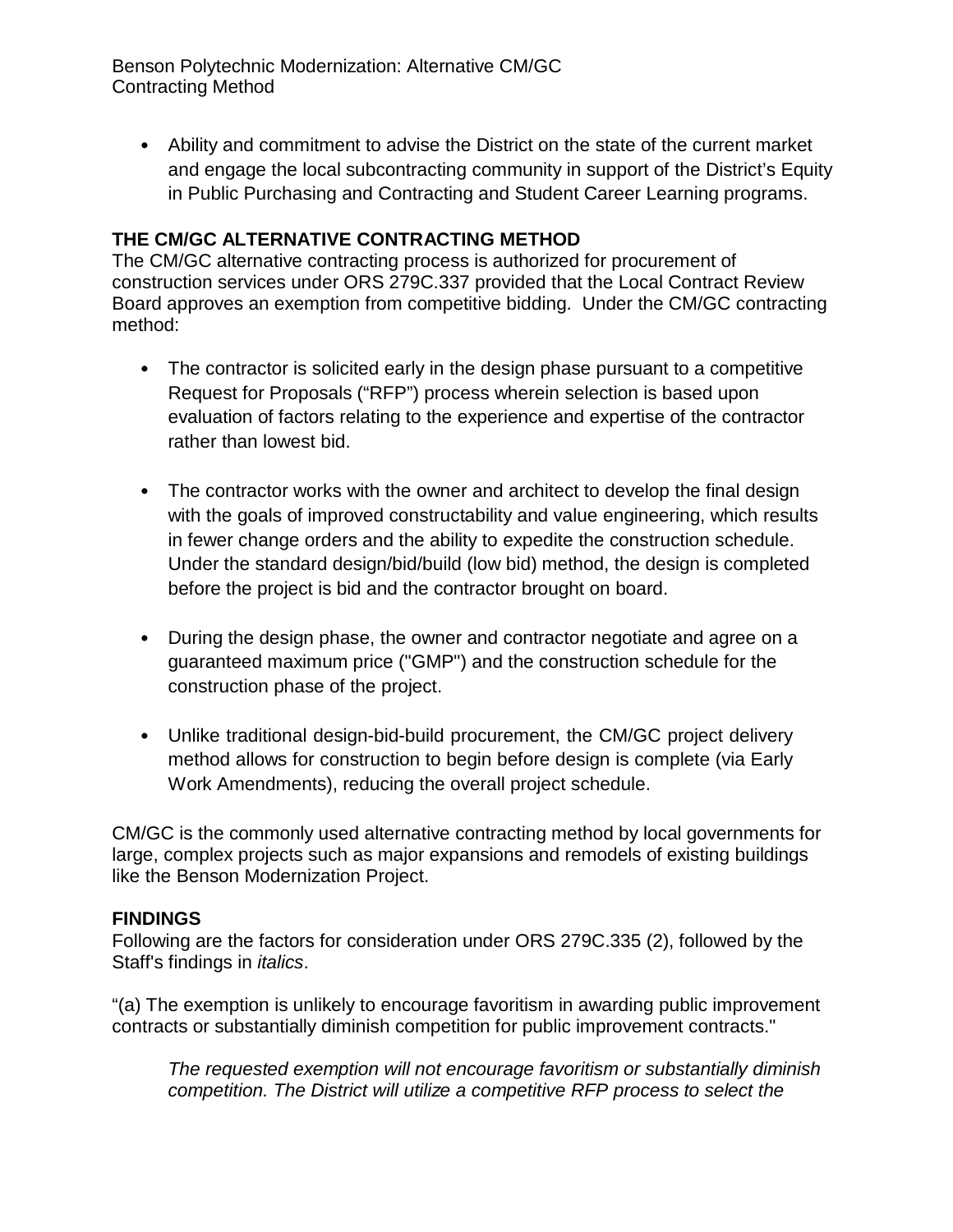Benson Polytechnic Modernization: Alternative CM/GC Contracting Method

• Ability and commitment to advise the District on the state of the current market and engage the local subcontracting community in support of the District's Equity in Public Purchasing and Contracting and Student Career Learning programs.

## **THE CM/GC ALTERNATIVE CONTRACTING METHOD**

The CM/GC alternative contracting process is authorized for procurement of construction services under ORS 279C.337 provided that the Local Contract Review Board approves an exemption from competitive bidding. Under the CM/GC contracting method:

- The contractor is solicited early in the design phase pursuant to a competitive Request for Proposals ("RFP") process wherein selection is based upon evaluation of factors relating to the experience and expertise of the contractor rather than lowest bid.
- The contractor works with the owner and architect to develop the final design with the goals of improved constructability and value engineering, which results in fewer change orders and the ability to expedite the construction schedule. Under the standard design/bid/build (low bid) method, the design is completed before the project is bid and the contractor brought on board.
- During the design phase, the owner and contractor negotiate and agree on a guaranteed maximum price ("GMP") and the construction schedule for the construction phase of the project.
- Unlike traditional design-bid-build procurement, the CM/GC project delivery method allows for construction to begin before design is complete (via Early Work Amendments), reducing the overall project schedule.

CM/GC is the commonly used alternative contracting method by local governments for large, complex projects such as major expansions and remodels of existing buildings like the Benson Modernization Project.

## **FINDINGS**

Following are the factors for consideration under ORS 279C.335 (2), followed by the Staff's findings in *italics*.

"(a) The exemption is unlikely to encourage favoritism in awarding public improvement contracts or substantially diminish competition for public improvement contracts."

*The requested exemption will not encourage favoritism or substantially diminish competition. The District will utilize a competitive RFP process to select the*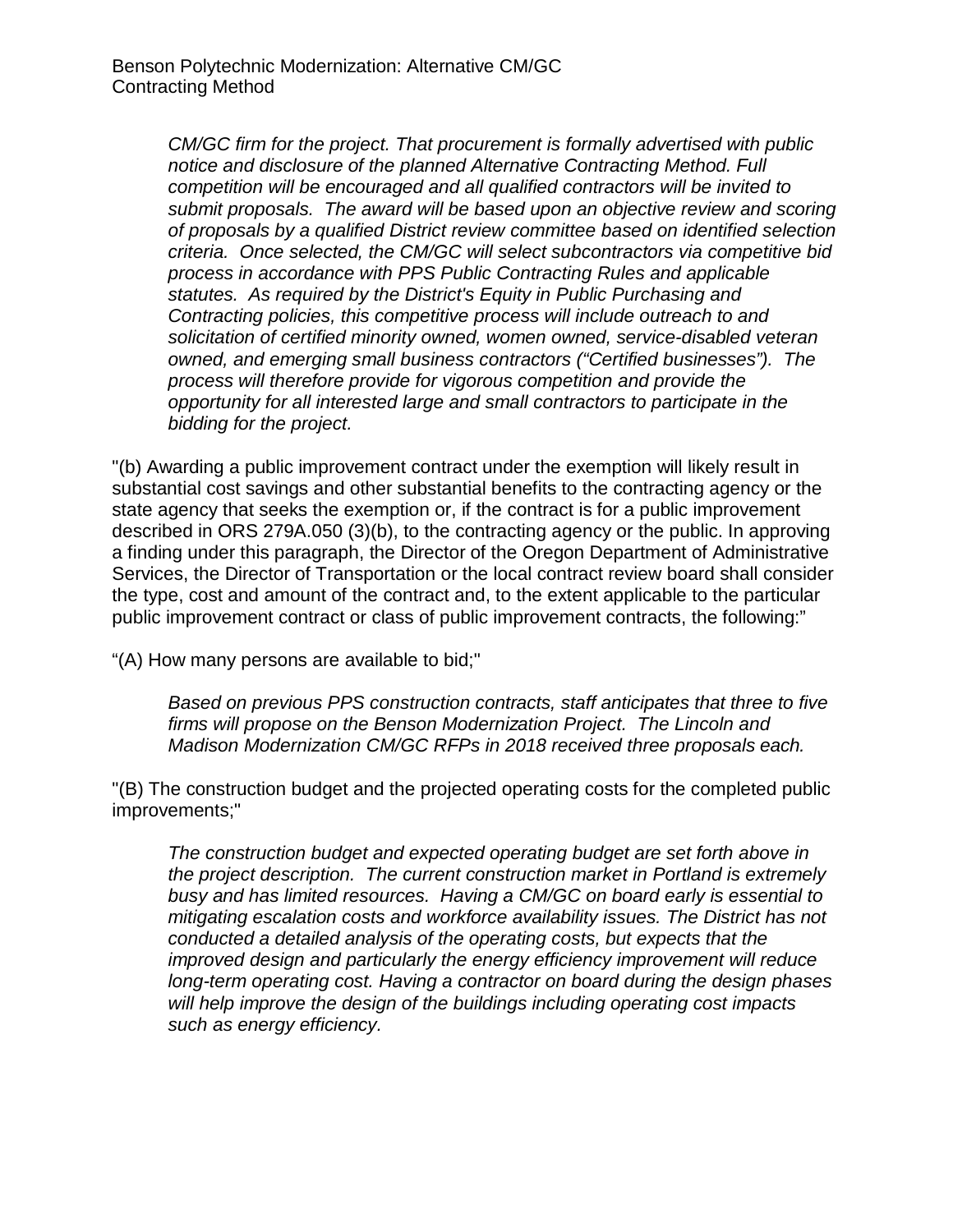*CM/GC firm for the project. That procurement is formally advertised with public notice and disclosure of the planned Alternative Contracting Method. Full competition will be encouraged and all qualified contractors will be invited to submit proposals. The award will be based upon an objective review and scoring of proposals by a qualified District review committee based on identified selection criteria. Once selected, the CM/GC will select subcontractors via competitive bid process in accordance with PPS Public Contracting Rules and applicable statutes. As required by the District's Equity in Public Purchasing and Contracting policies, this competitive process will include outreach to and solicitation of certified minority owned, women owned, service-disabled veteran owned, and emerging small business contractors ("Certified businesses"). The process will therefore provide for vigorous competition and provide the opportunity for all interested large and small contractors to participate in the bidding for the project.*

"(b) Awarding a public improvement contract under the exemption will likely result in substantial cost savings and other substantial benefits to the contracting agency or the state agency that seeks the exemption or, if the contract is for a public improvement described in ORS 279A.050 (3)(b), to the contracting agency or the public. In approving a finding under this paragraph, the Director of the Oregon Department of Administrative Services, the Director of Transportation or the local contract review board shall consider the type, cost and amount of the contract and, to the extent applicable to the particular public improvement contract or class of public improvement contracts, the following:"

"(A) How many persons are available to bid;"

*Based on previous PPS construction contracts, staff anticipates that three to five firms will propose on the Benson Modernization Project. The Lincoln and Madison Modernization CM/GC RFPs in 2018 received three proposals each.* 

"(B) The construction budget and the projected operating costs for the completed public improvements;"

*The construction budget and expected operating budget are set forth above in the project description. The current construction market in Portland is extremely busy and has limited resources. Having a CM/GC on board early is essential to mitigating escalation costs and workforce availability issues. The District has not conducted a detailed analysis of the operating costs, but expects that the improved design and particularly the energy efficiency improvement will reduce long-term operating cost. Having a contractor on board during the design phases will help improve the design of the buildings including operating cost impacts such as energy efficiency.*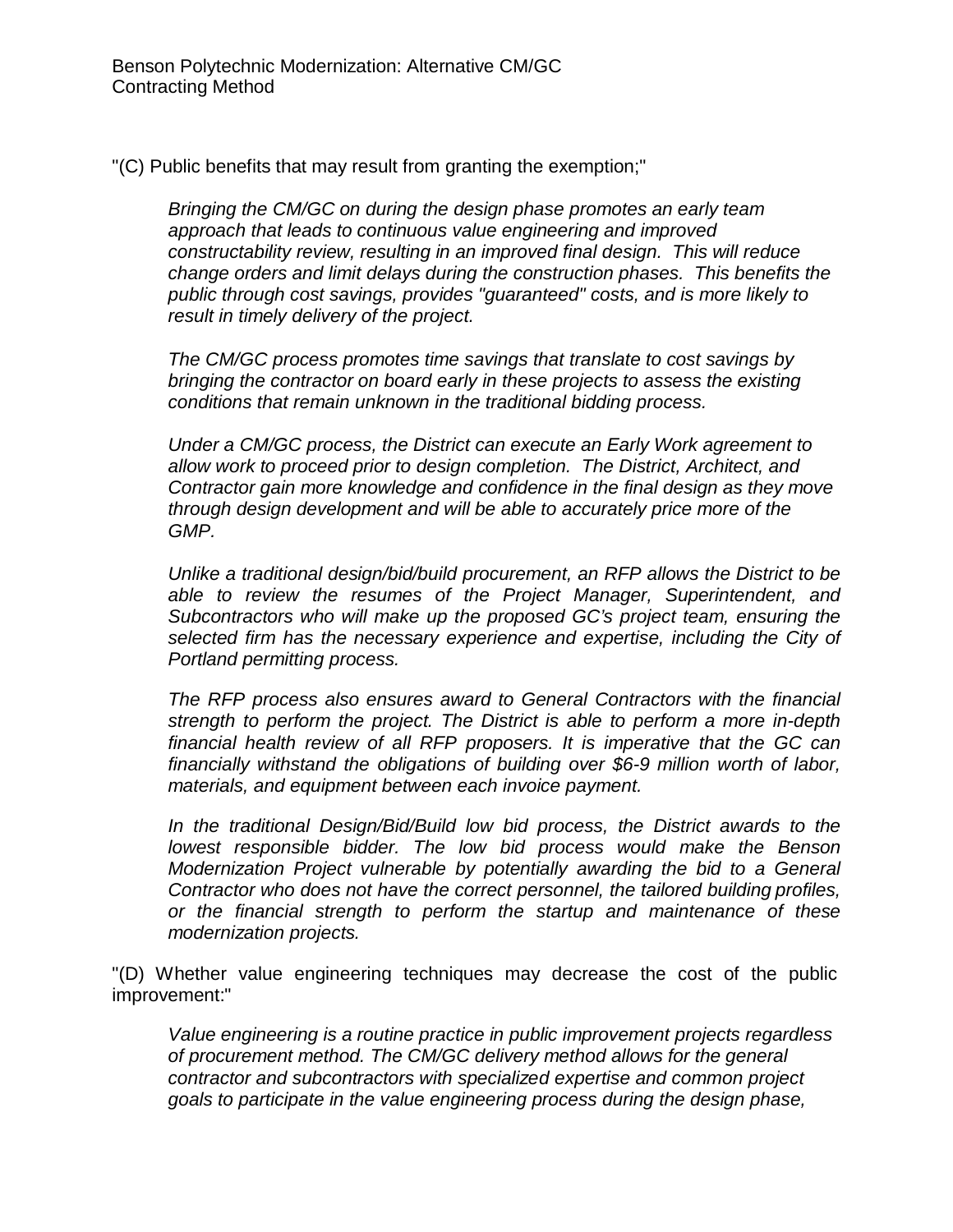"(C) Public benefits that may result from granting the exemption;"

*Bringing the CM/GC on during the design phase promotes an early team approach that leads to continuous value engineering and improved constructability review, resulting in an improved final design. This will reduce change orders and limit delays during the construction phases. This benefits the public through cost savings, provides "guaranteed" costs, and is more likely to result in timely delivery of the project.*

*The CM/GC process promotes time savings that translate to cost savings by bringing the contractor on board early in these projects to assess the existing conditions that remain unknown in the traditional bidding process.*

*Under a CM/GC process, the District can execute an Early Work agreement to allow work to proceed prior to design completion. The District, Architect, and Contractor gain more knowledge and confidence in the final design as they move through design development and will be able to accurately price more of the GMP.*

*Unlike a traditional design/bid/build procurement, an RFP allows the District to be able to review the resumes of the Project Manager, Superintendent, and Subcontractors who will make up the proposed GC's project team, ensuring the selected firm has the necessary experience and expertise, including the City of Portland permitting process.*

*The RFP process also ensures award to General Contractors with the financial strength to perform the project. The District is able to perform a more in-depth financial health review of all RFP proposers. It is imperative that the GC can financially withstand the obligations of building over \$6-9 million worth of labor, materials, and equipment between each invoice payment.*

*In the traditional Design/Bid/Build low bid process, the District awards to the lowest responsible bidder. The low bid process would make the Benson Modernization Project vulnerable by potentially awarding the bid to a General Contractor who does not have the correct personnel, the tailored building profiles, or the financial strength to perform the startup and maintenance of these modernization projects.*

"(D) Whether value engineering techniques may decrease the cost of the public improvement:"

*Value engineering is a routine practice in public improvement projects regardless of procurement method. The CM/GC delivery method allows for the general contractor and subcontractors with specialized expertise and common project goals to participate in the value engineering process during the design phase,*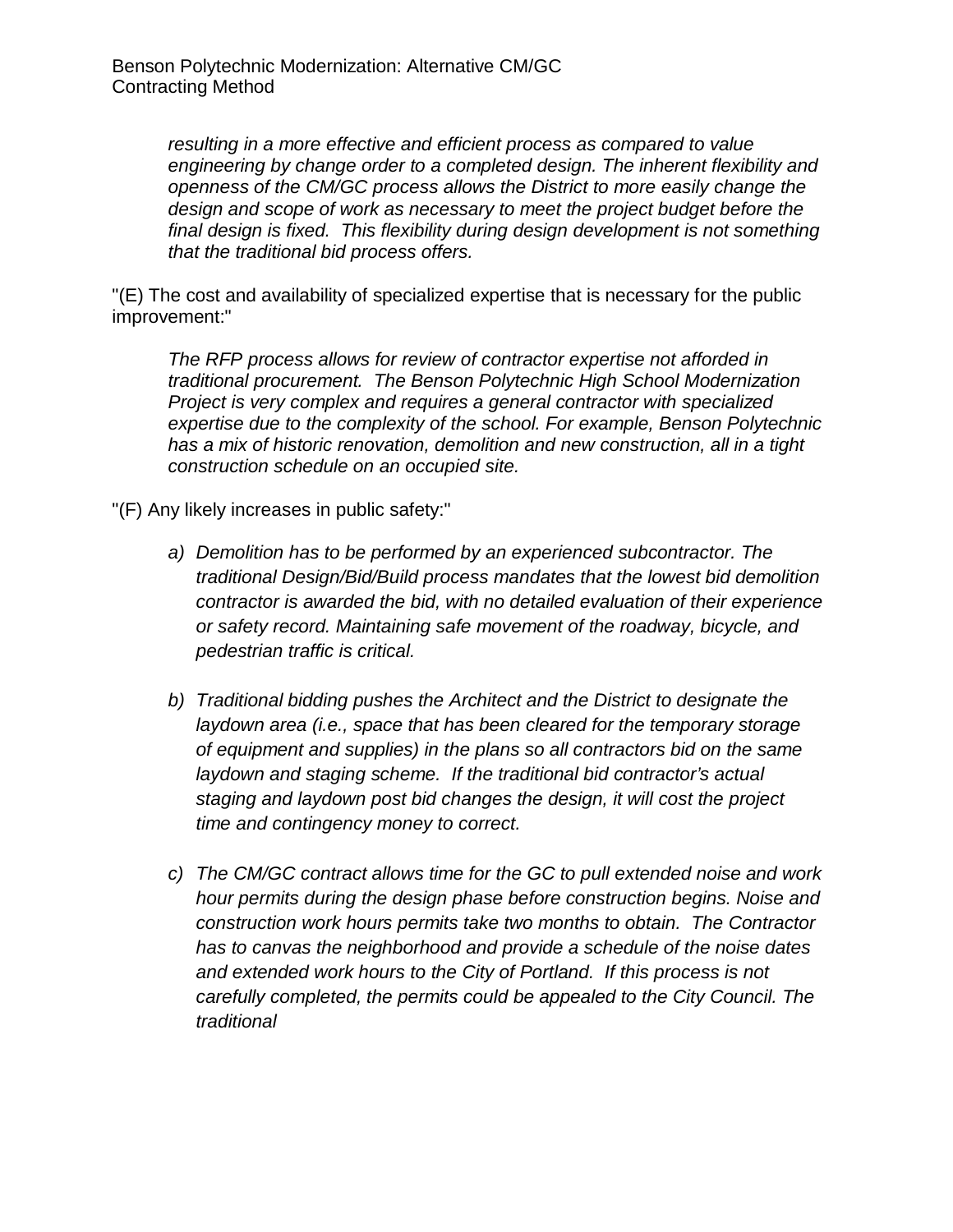*resulting in a more effective and efficient process as compared to value engineering by change order to a completed design. The inherent flexibility and openness of the CM/GC process allows the District to more easily change the design and scope of work as necessary to meet the project budget before the final design is fixed. This flexibility during design development is not something that the traditional bid process offers.*

"(E) The cost and availability of specialized expertise that is necessary for the public improvement:"

*The RFP process allows for review of contractor expertise not afforded in traditional procurement. The Benson Polytechnic High School Modernization Project is very complex and requires a general contractor with specialized expertise due to the complexity of the school. For example, Benson Polytechnic has a mix of historic renovation, demolition and new construction, all in a tight construction schedule on an occupied site.*

"(F) Any likely increases in public safety:"

- *a) Demolition has to be performed by an experienced subcontractor. The traditional Design/Bid/Build process mandates that the lowest bid demolition contractor is awarded the bid, with no detailed evaluation of their experience or safety record. Maintaining safe movement of the roadway, bicycle, and pedestrian traffic is critical.*
- *b) Traditional bidding pushes the Architect and the District to designate the laydown area (i.e., space that has been cleared for the temporary storage of equipment and supplies) in the plans so all contractors bid on the same laydown and staging scheme. If the traditional bid contractor's actual staging and laydown post bid changes the design, it will cost the project time and contingency money to correct.*
- *c) The CM/GC contract allows time for the GC to pull extended noise and work hour permits during the design phase before construction begins. Noise and construction work hours permits take two months to obtain. The Contractor has to canvas the neighborhood and provide a schedule of the noise dates and extended work hours to the City of Portland. If this process is not carefully completed, the permits could be appealed to the City Council. The traditional*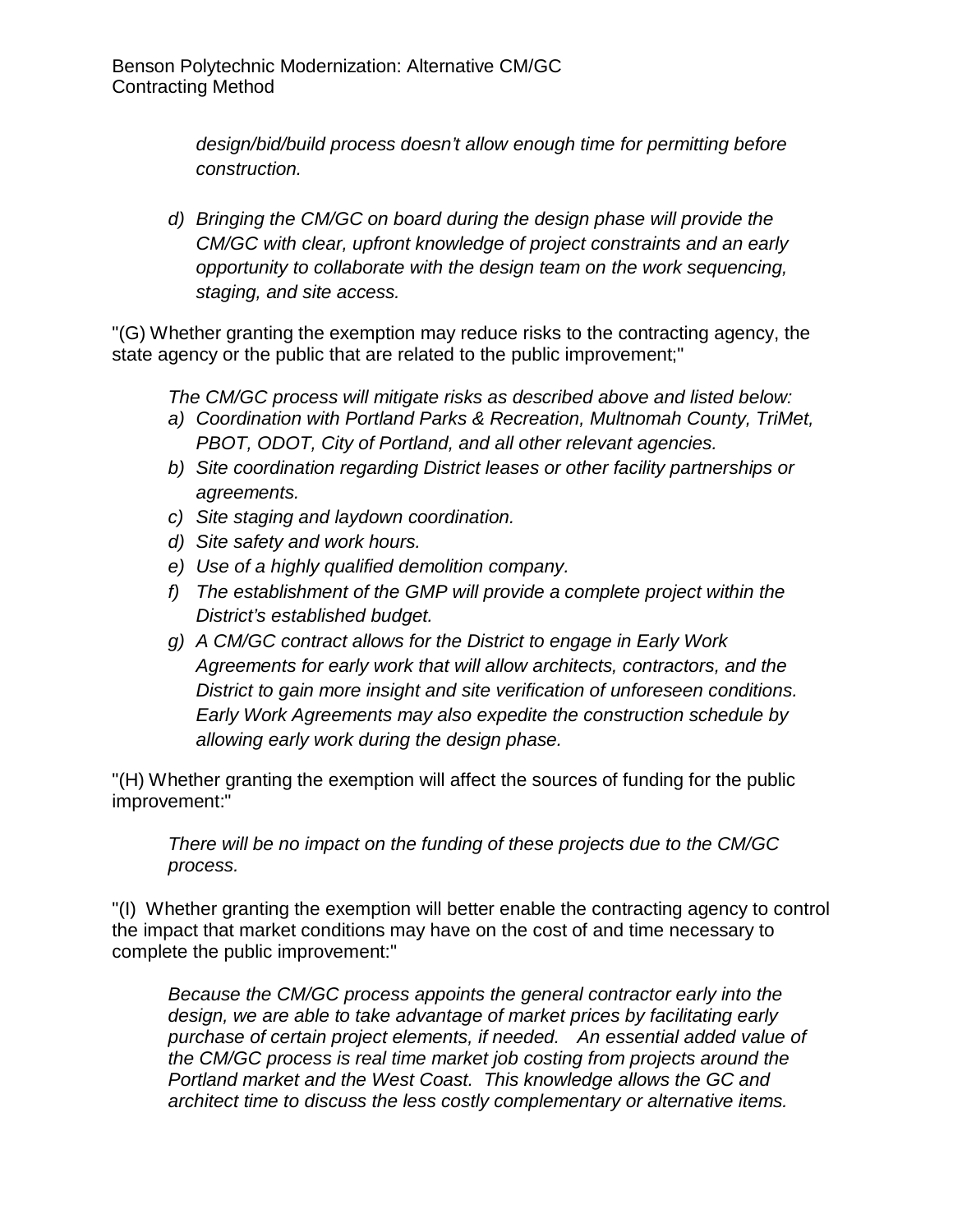*design/bid/build process doesn't allow enough time for permitting before construction.*

*d) Bringing the CM/GC on board during the design phase will provide the CM/GC with clear, upfront knowledge of project constraints and an early opportunity to collaborate with the design team on the work sequencing, staging, and site access.*

"(G) Whether granting the exemption may reduce risks to the contracting agency, the state agency or the public that are related to the public improvement;"

*The CM/GC process will mitigate risks as described above and listed below:*

- *a) Coordination with Portland Parks & Recreation, Multnomah County, TriMet, PBOT, ODOT, City of Portland, and all other relevant agencies.*
- *b) Site coordination regarding District leases or other facility partnerships or agreements.*
- *c) Site staging and laydown coordination.*
- *d) Site safety and work hours.*
- *e) Use of a highly qualified demolition company.*
- *f) The establishment of the GMP will provide a complete project within the District's established budget.*
- *g) A CM/GC contract allows for the District to engage in Early Work Agreements for early work that will allow architects, contractors, and the District to gain more insight and site verification of unforeseen conditions. Early Work Agreements may also expedite the construction schedule by allowing early work during the design phase.*

"(H) Whether granting the exemption will affect the sources of funding for the public improvement:"

*There will be no impact on the funding of these projects due to the CM/GC process.*

"(I) Whether granting the exemption will better enable the contracting agency to control the impact that market conditions may have on the cost of and time necessary to complete the public improvement:"

*Because the CM/GC process appoints the general contractor early into the design, we are able to take advantage of market prices by facilitating early purchase of certain project elements, if needed. An essential added value of the CM/GC process is real time market job costing from projects around the Portland market and the West Coast. This knowledge allows the GC and architect time to discuss the less costly complementary or alternative items.*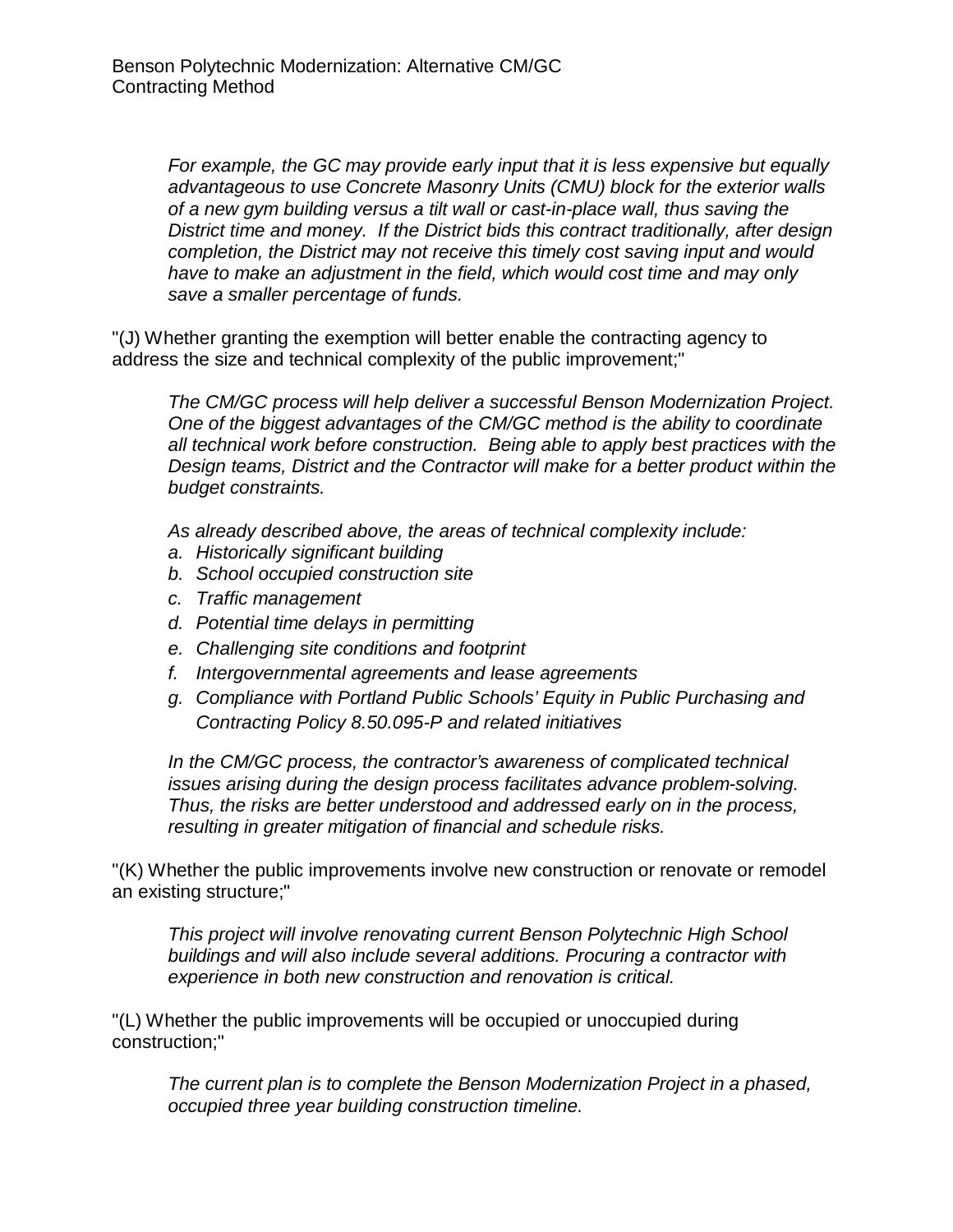*For example, the GC may provide early input that it is less expensive but equally advantageous to use Concrete Masonry Units (CMU) block for the exterior walls of a new gym building versus a tilt wall or cast-in-place wall, thus saving the District time and money. If the District bids this contract traditionally, after design completion, the District may not receive this timely cost saving input and would have to make an adjustment in the field, which would cost time and may only save a smaller percentage of funds.*

"(J) Whether granting the exemption will better enable the contracting agency to address the size and technical complexity of the public improvement;"

*The CM/GC process will help deliver a successful Benson Modernization Project. One of the biggest advantages of the CM/GC method is the ability to coordinate all technical work before construction. Being able to apply best practices with the Design teams, District and the Contractor will make for a better product within the budget constraints.*

*As already described above, the areas of technical complexity include:*

- *a. Historically significant building*
- *b. School occupied construction site*
- *c. Traffic management*
- *d. Potential time delays in permitting*
- *e. Challenging site conditions and footprint*
- *f. Intergovernmental agreements and lease agreements*
- *g. Compliance with Portland Public Schools' Equity in Public Purchasing and Contracting Policy 8.50.095-P and related initiatives*

*In the CM/GC process, the contractor's awareness of complicated technical issues arising during the design process facilitates advance problem-solving. Thus, the risks are better understood and addressed early on in the process, resulting in greater mitigation of financial and schedule risks.*

"(K) Whether the public improvements involve new construction or renovate or remodel an existing structure;"

*This project will involve renovating current Benson Polytechnic High School buildings and will also include several additions. Procuring a contractor with experience in both new construction and renovation is critical.*

"(L) Whether the public improvements will be occupied or unoccupied during construction;"

*The current plan is to complete the Benson Modernization Project in a phased, occupied three year building construction timeline.*